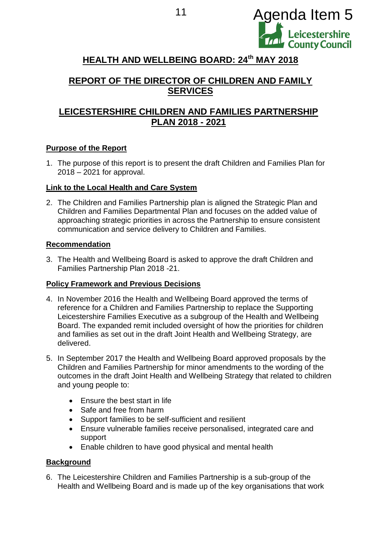

# **HEALTH AND WELLBEING BOARD: 24th MAY 2018**

# **REPORT OF THE DIRECTOR OF CHILDREN AND FAMILY SERVICES**

# **LEICESTERSHIRE CHILDREN AND FAMILIES PARTNERSHIP PLAN 2018 - 2021**

## **Purpose of the Report**

1. The purpose of this report is to present the draft Children and Families Plan for 2018 – 2021 for approval.

#### **Link to the Local Health and Care System**

2. The Children and Families Partnership plan is aligned the Strategic Plan and Children and Families Departmental Plan and focuses on the added value of approaching strategic priorities in across the Partnership to ensure consistent communication and service delivery to Children and Families.

#### **Recommendation**

3. The Health and Wellbeing Board is asked to approve the draft Children and Families Partnership Plan 2018 -21.

#### **Policy Framework and Previous Decisions**

- 4. In November 2016 the Health and Wellbeing Board approved the terms of reference for a Children and Families Partnership to replace the Supporting Leicestershire Families Executive as a subgroup of the Health and Wellbeing Board. The expanded remit included oversight of how the priorities for children and families as set out in the draft Joint Health and Wellbeing Strategy, are delivered.
- 5. In September 2017 the Health and Wellbeing Board approved proposals by the Children and Families Partnership for minor amendments to the wording of the outcomes in the draft Joint Health and Wellbeing Strategy that related to children and young people to:
	- Ensure the best start in life
	- Safe and free from harm
	- Support families to be self-sufficient and resilient
	- Ensure vulnerable families receive personalised, integrated care and support
	- Enable children to have good physical and mental health

#### **Background**

6. The Leicestershire Children and Families Partnership is a sub-group of the Health and Wellbeing Board and is made up of the key organisations that work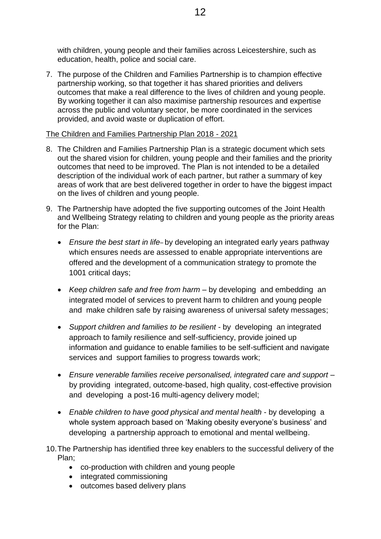with children, young people and their families across Leicestershire, such as education, health, police and social care.

7. The purpose of the Children and Families Partnership is to champion effective partnership working, so that together it has shared priorities and delivers outcomes that make a real difference to the lives of children and young people. By working together it can also maximise partnership resources and expertise across the public and voluntary sector, be more coordinated in the services provided, and avoid waste or duplication of effort.

### The Children and Families Partnership Plan 2018 - 2021

- 8. The Children and Families Partnership Plan is a strategic document which sets out the shared vision for children, young people and their families and the priority outcomes that need to be improved. The Plan is not intended to be a detailed description of the individual work of each partner, but rather a summary of key areas of work that are best delivered together in order to have the biggest impact on the lives of children and young people.
- 9. The Partnership have adopted the five supporting outcomes of the Joint Health and Wellbeing Strategy relating to children and young people as the priority areas for the Plan:
	- *Ensure the best start in life* by developing an integrated early years pathway which ensures needs are assessed to enable appropriate interventions are offered and the development of a communication strategy to promote the 1001 critical days;
	- *Keep children safe and free from harm* by developing and embedding an integrated model of services to prevent harm to children and young people and make children safe by raising awareness of universal safety messages;
	- *Support children and families to be resilient* by developing an integrated approach to family resilience and self-sufficiency, provide joined up information and guidance to enable families to be self-sufficient and navigate services and support families to progress towards work;
	- *Ensure venerable families receive personalised, integrated care and support* by providing integrated, outcome-based, high quality, cost-effective provision and developing a post-16 multi-agency delivery model;
	- *Enable children to have good physical and mental health* by developing a whole system approach based on 'Making obesity everyone's business' and developing a partnership approach to emotional and mental wellbeing.
- 10.The Partnership has identified three key enablers to the successful delivery of the Plan;
	- co-production with children and young people
	- integrated commissioning
	- outcomes based delivery plans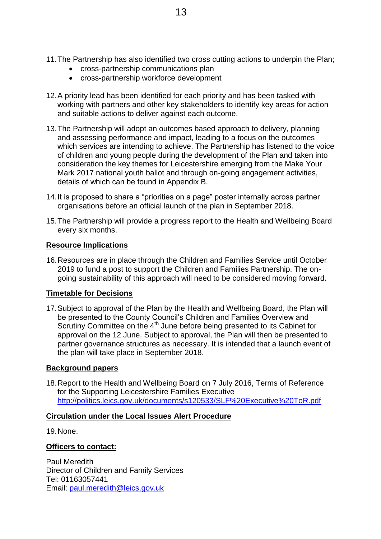- 11.The Partnership has also identified two cross cutting actions to underpin the Plan;
	- cross-partnership communications plan
	- cross-partnership workforce development
- 12.A priority lead has been identified for each priority and has been tasked with working with partners and other key stakeholders to identify key areas for action and suitable actions to deliver against each outcome.
- 13.The Partnership will adopt an outcomes based approach to delivery, planning and assessing performance and impact, leading to a focus on the outcomes which services are intending to achieve. The Partnership has listened to the voice of children and young people during the development of the Plan and taken into consideration the key themes for Leicestershire emerging from the Make Your Mark 2017 national youth ballot and through on-going engagement activities, details of which can be found in Appendix B.
- 14.It is proposed to share a "priorities on a page" poster internally across partner organisations before an official launch of the plan in September 2018.
- 15.The Partnership will provide a progress report to the Health and Wellbeing Board every six months.

#### **Resource Implications**

16.Resources are in place through the Children and Families Service until October 2019 to fund a post to support the Children and Families Partnership. The ongoing sustainability of this approach will need to be considered moving forward.

#### **Timetable for Decisions**

17.Subject to approval of the Plan by the Health and Wellbeing Board, the Plan will be presented to the County Council's Children and Families Overview and Scrutiny Committee on the  $4<sup>th</sup>$  June before being presented to its Cabinet for approval on the 12 June. Subject to approval, the Plan will then be presented to partner governance structures as necessary. It is intended that a launch event of the plan will take place in September 2018.

#### **Background papers**

18.Report to the Health and Wellbeing Board on 7 July 2016, Terms of Reference for the Supporting Leicestershire Families Executive <http://politics.leics.gov.uk/documents/s120533/SLF%20Executive%20ToR.pdf>

#### **Circulation under the Local Issues Alert Procedure**

19.None.

#### **Officers to contact:**

Paul Meredith Director of Children and Family Services Tel: 01163057441 Email: [paul.meredith@leics.gov.uk](mailto:paul.meredith@leics.gov.uk)